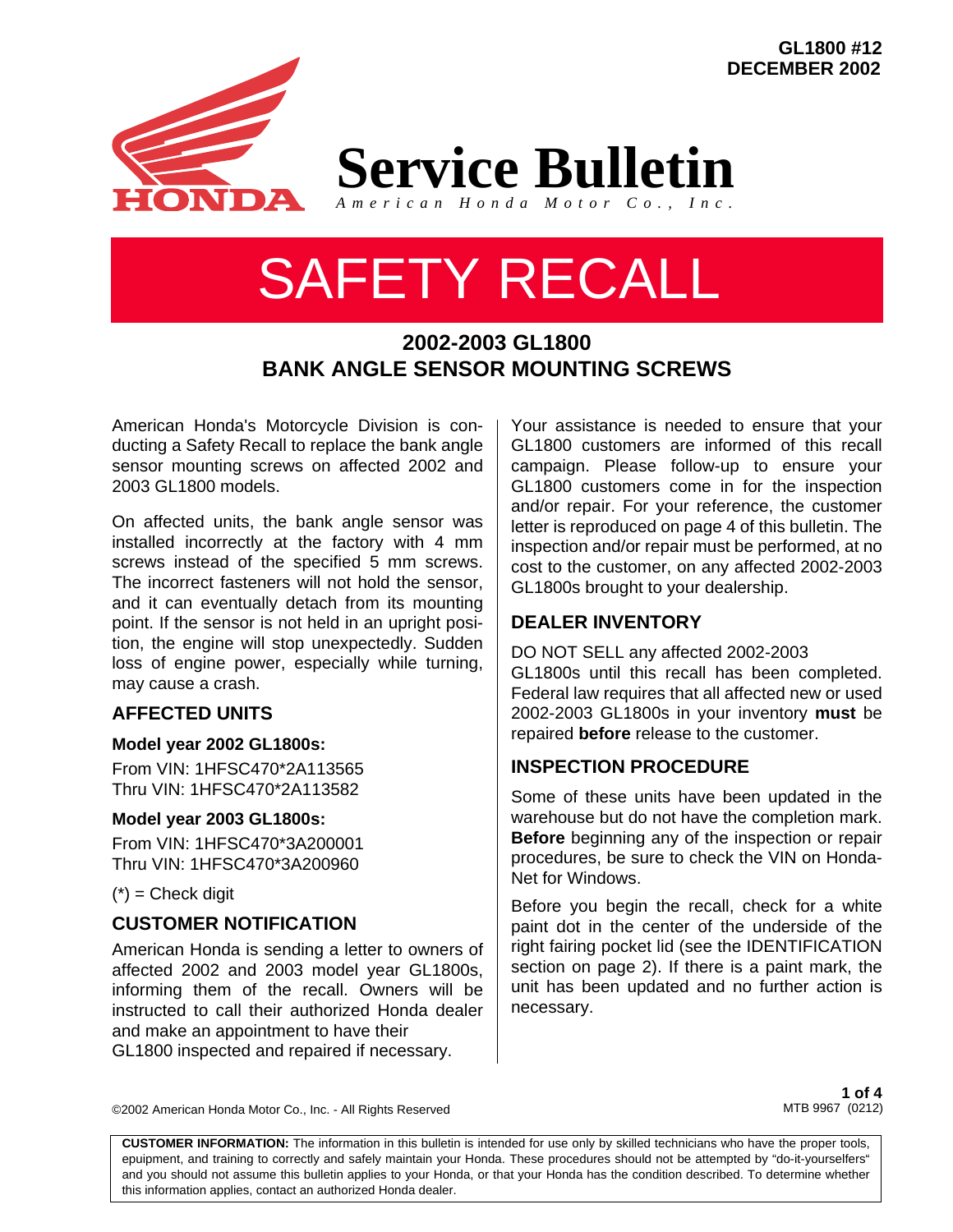**GL1800 #12 DECEMBER 2002**



**Service Bulletin**

### *American Honda Motor Co., Inc.*

# SAFETY RECALL

# **2002-2003 GL1800 BANK ANGLE SENSOR MOUNTING SCREWS**

American Honda's Motorcycle Division is conducting a Safety Recall to replace the bank angle sensor mounting screws on affected 2002 and 2003 GL1800 models.

On affected units, the bank angle sensor was installed incorrectly at the factory with 4 mm screws instead of the specified 5 mm screws. The incorrect fasteners will not hold the sensor, and it can eventually detach from its mounting point. If the sensor is not held in an upright position, the engine will stop unexpectedly. Sudden loss of engine power, especially while turning, may cause a crash.

# **AFFECTED UNITS**

## **Model year 2002 GL1800s:**

From VIN: 1HFSC470\*2A113565 Thru VIN: 1HFSC470\*2A113582

## **Model year 2003 GL1800s:**

From VIN: 1HFSC470\*3A200001 Thru VIN: 1HFSC470\*3A200960

 $(*)$  = Check digit

## **CUSTOMER NOTIFICATION**

American Honda is sending a letter to owners of affected 2002 and 2003 model year GL1800s, informing them of the recall. Owners will be instructed to call their authorized Honda dealer and make an appointment to have their GL1800 inspected and repaired if necessary.

Your assistance is needed to ensure that your GL1800 customers are informed of this recall campaign. Please follow-up to ensure your GL1800 customers come in for the inspection and/or repair. For your reference, the customer letter is reproduced on page 4 of this bulletin. The inspection and/or repair must be performed, at no cost to the customer, on any affected 2002-2003 GL1800s brought to your dealership.

# **DEALER INVENTORY**

DO NOT SELL any affected 2002-2003 GL1800s until this recall has been completed. Federal law requires that all affected new or used 2002-2003 GL1800s in your inventory **must** be repaired **before** release to the customer.

## **INSPECTION PROCEDURE**

Some of these units have been updated in the warehouse but do not have the completion mark. **Before** beginning any of the inspection or repair procedures, be sure to check the VIN on Honda-Net for Windows.

Before you begin the recall, check for a white paint dot in the center of the underside of the right fairing pocket lid (see the IDENTIFICATION section on page 2). If there is a paint mark, the unit has been updated and no further action is necessary.

©2002 American Honda Motor Co., Inc. - All Rights Reserved

**1 of 4** MTB 9967 (0212)

**CUSTOMER INFORMATION:** The information in this bulletin is intended for use only by skilled technicians who have the proper tools, epuipment, and training to correctly and safely maintain your Honda. These procedures should not be attempted by "do-it-yourselfers" and you should not assume this bulletin applies to your Honda, or that your Honda has the condition described. To determine whether this information applies, contact an authorized Honda dealer.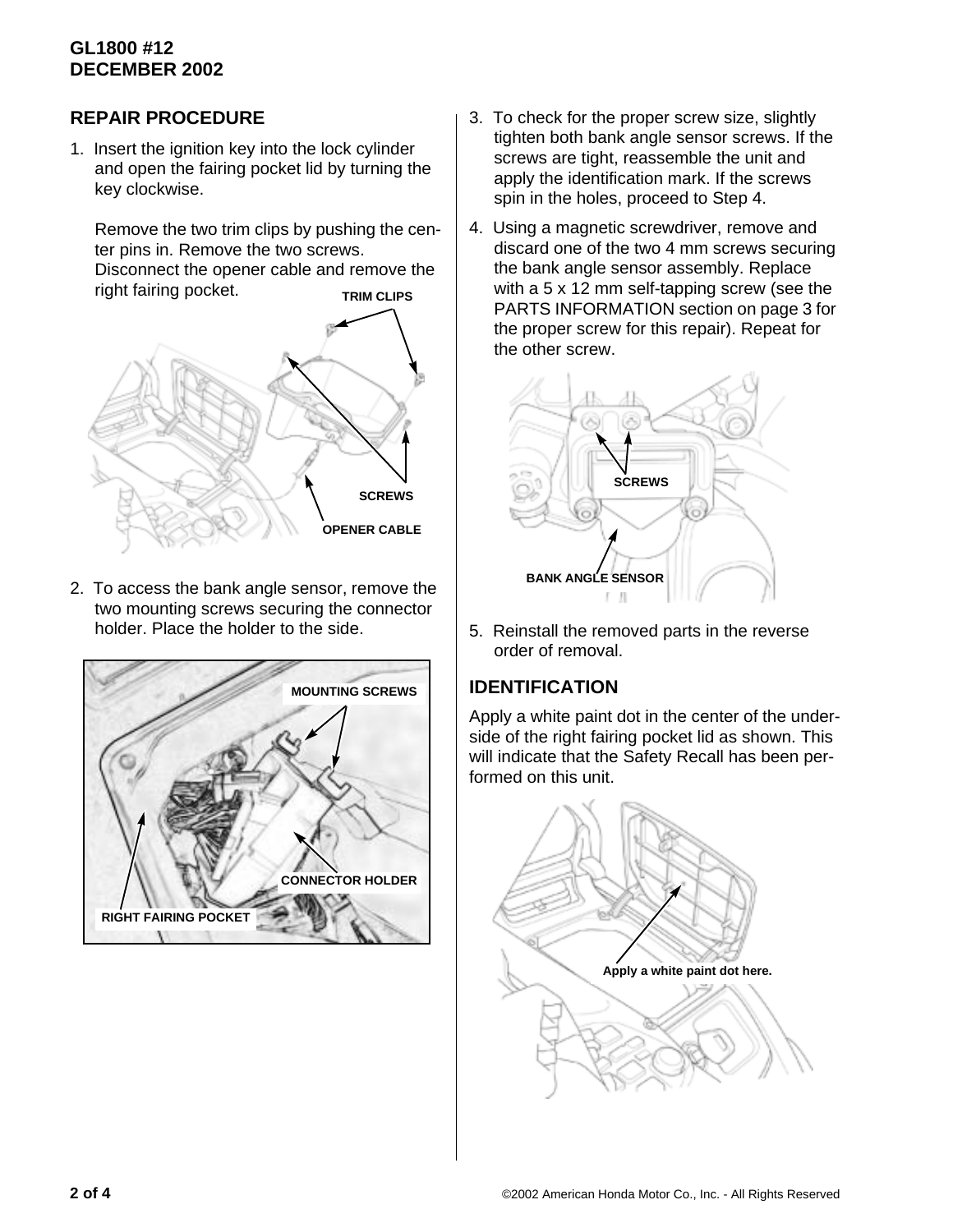# **GL1800 #12 DECEMBER 2002**

# **REPAIR PROCEDURE**

1. Insert the ignition key into the lock cylinder and open the fairing pocket lid by turning the key clockwise.

Remove the two trim clips by pushing the center pins in. Remove the two screws. Disconnect the opener cable and remove the right fairing pocket. **TRIM CLIPS**



2. To access the bank angle sensor, remove the two mounting screws securing the connector holder. Place the holder to the side.



- 3. To check for the proper screw size, slightly tighten both bank angle sensor screws. If the screws are tight, reassemble the unit and apply the identification mark. If the screws spin in the holes, proceed to Step 4.
- 4. Using a magnetic screwdriver, remove and discard one of the two 4 mm screws securing the bank angle sensor assembly. Replace with a 5 x 12 mm self-tapping screw (see the PARTS INFORMATION section on page 3 for the proper screw for this repair). Repeat for the other screw.



5. Reinstall the removed parts in the reverse order of removal.

# **IDENTIFICATION**

Apply a white paint dot in the center of the underside of the right fairing pocket lid as shown. This will indicate that the Safety Recall has been performed on this unit.

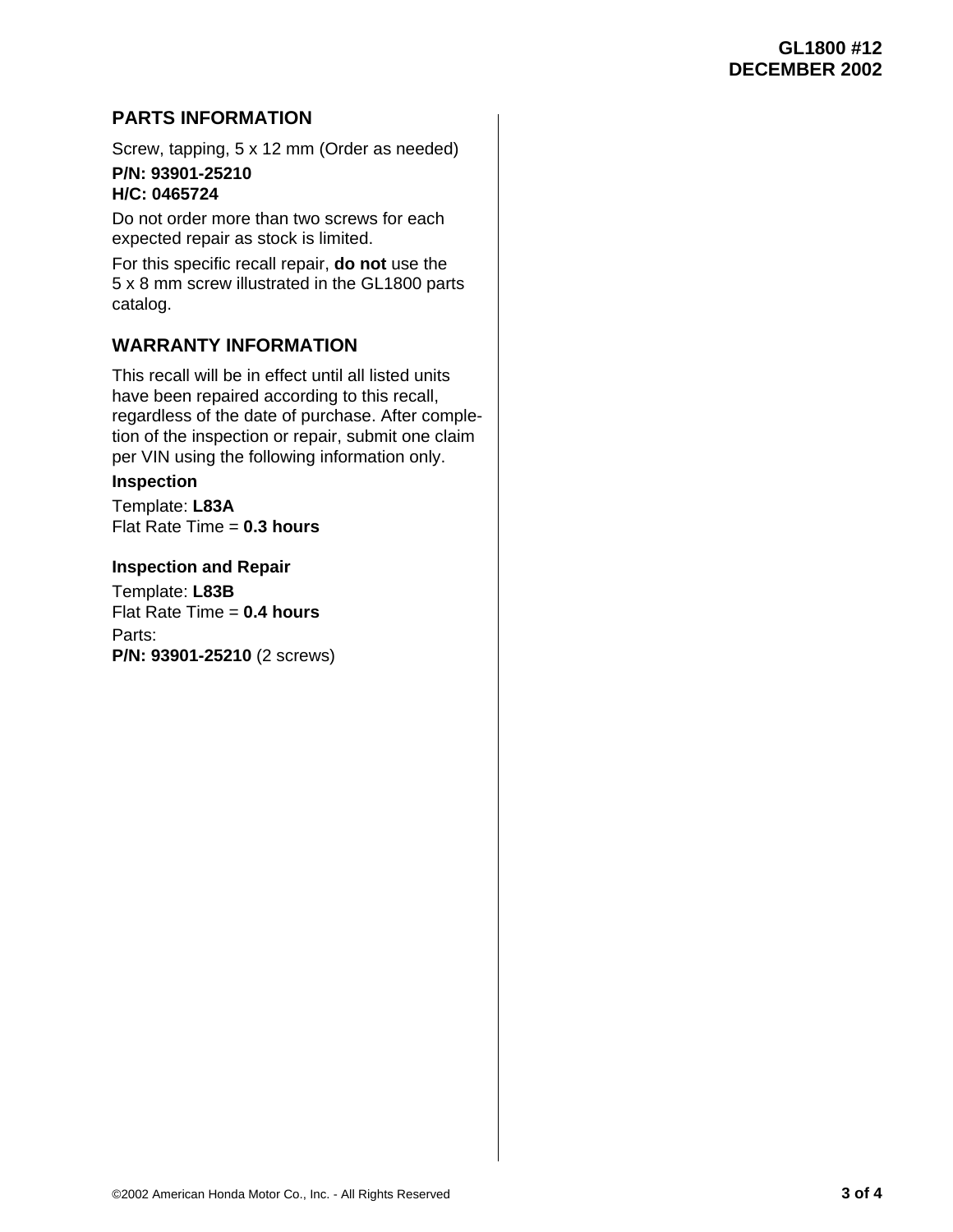# **PARTS INFORMATION**

Screw, tapping, 5 x 12 mm (Order as needed)

## **P/N: 93901-25210 H/C: 0465724**

Do not order more than two screws for each expected repair as stock is limited.

For this specific recall repair, **do not** use the 5 x 8 mm screw illustrated in the GL1800 parts catalog.

## **WARRANTY INFORMATION**

This recall will be in effect until all listed units have been repaired according to this recall, regardless of the date of purchase. After completion of the inspection or repair, submit one claim per VIN using the following information only.

## **Inspection**

Template: **L83A** Flat Rate Time = **0.3 hours**

## **Inspection and Repair**

Template: **L83B** Flat Rate Time = **0.4 hours** Parts: **P/N: 93901-25210** (2 screws)